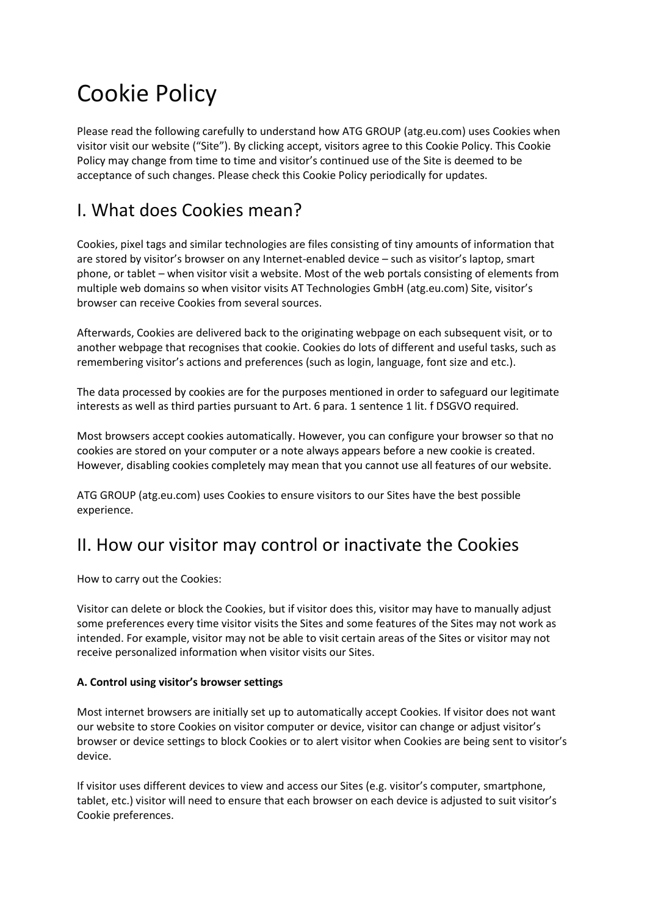# Cookie Policy

Please read the following carefully to understand how ATG GROUP (atg.eu.com) uses Cookies when visitor visit our website ("Site"). By clicking accept, visitors agree to this Cookie Policy. This Cookie Policy may change from time to time and visitor's continued use of the Site is deemed to be acceptance of such changes. Please check this Cookie Policy periodically for updates.

### I. What does Cookies mean?

Cookies, pixel tags and similar technologies are files consisting of tiny amounts of information that are stored by visitor's browser on any Internet-enabled device – such as visitor's laptop, smart phone, or tablet – when visitor visit a website. Most of the web portals consisting of elements from multiple web domains so when visitor visits AT Technologies GmbH (atg.eu.com) Site, visitor's browser can receive Cookies from several sources.

Afterwards, Cookies are delivered back to the originating webpage on each subsequent visit, or to another webpage that recognises that cookie. Cookies do lots of different and useful tasks, such as remembering visitor's actions and preferences (such as login, language, font size and etc.).

The data processed by cookies are for the purposes mentioned in order to safeguard our legitimate interests as well as third parties pursuant to Art. 6 para. 1 sentence 1 lit. f DSGVO required.

Most browsers accept cookies automatically. However, you can configure your browser so that no cookies are stored on your computer or a note always appears before a new cookie is created. However, disabling cookies completely may mean that you cannot use all features of our website.

ATG GROUP (atg.eu.com) uses Cookies to ensure visitors to our Sites have the best possible experience.

### II. How our visitor may control or inactivate the Cookies

How to carry out the Cookies:

Visitor can delete or block the Cookies, but if visitor does this, visitor may have to manually adjust some preferences every time visitor visits the Sites and some features of the Sites may not work as intended. For example, visitor may not be able to visit certain areas of the Sites or visitor may not receive personalized information when visitor visits our Sites.

#### **A. Control using visitor's browser settings**

Most internet browsers are initially set up to automatically accept Cookies. If visitor does not want our website to store Cookies on visitor computer or device, visitor can change or adjust visitor's browser or device settings to block Cookies or to alert visitor when Cookies are being sent to visitor's device.

If visitor uses different devices to view and access our Sites (e.g. visitor's computer, smartphone, tablet, etc.) visitor will need to ensure that each browser on each device is adjusted to suit visitor's Cookie preferences.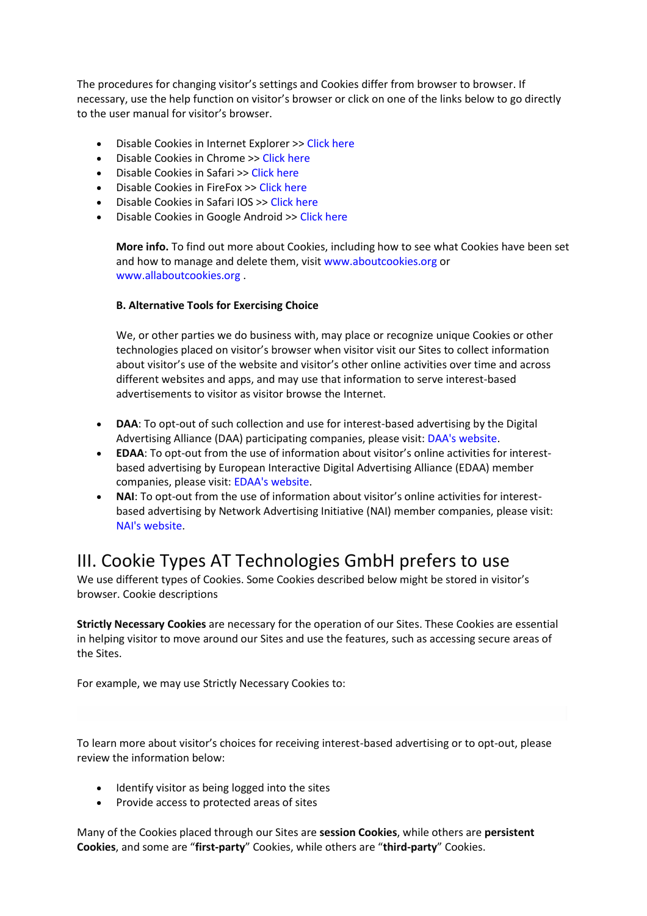The procedures for changing visitor's settings and Cookies differ from browser to browser. If necessary, use the help function on visitor's browser or click on one of the links below to go directly to the user manual for visitor's browser.

- Disable Cookies in Internet Explorer >> Click here
- Disable Cookies in Chrome >> Click here
- Disable Cookies in Safari >> Click here
- Disable Cookies in FireFox >> Click here
- Disable Cookies in Safari IOS >> Click here
- Disable Cookies in Google Android >> Click here

**More info.** To find out more about Cookies, including how to see what Cookies have been set and how to manage and delete them, visit www.aboutcookies.org or www.allaboutcookies.org .

#### **B. Alternative Tools for Exercising Choice**

We, or other parties we do business with, may place or recognize unique Cookies or other technologies placed on visitor's browser when visitor visit our Sites to collect information about visitor's use of the website and visitor's other online activities over time and across different websites and apps, and may use that information to serve interest-based advertisements to visitor as visitor browse the Internet.

- **DAA**: To opt-out of such collection and use for interest-based advertising by the Digital Advertising Alliance (DAA) participating companies, please visit: DAA's website.
- **EDAA**: To opt-out from the use of information about visitor's online activities for interestbased advertising by European Interactive Digital Advertising Alliance (EDAA) member companies, please visit: EDAA's website.
- **NAI**: To opt-out from the use of information about visitor's online activities for interestbased advertising by Network Advertising Initiative (NAI) member companies, please visit: NAI's website.

### III. Cookie Types AT Technologies GmbH prefers to use

We use different types of Cookies. Some Cookies described below might be stored in visitor's browser. Cookie descriptions

**Strictly Necessary Cookies** are necessary for the operation of our Sites. These Cookies are essential in helping visitor to move around our Sites and use the features, such as accessing secure areas of the Sites.

For example, we may use Strictly Necessary Cookies to:

To learn more about visitor's choices for receiving interest-based advertising or to opt-out, please review the information below:

- Identify visitor as being logged into the sites
- Provide access to protected areas of sites

Many of the Cookies placed through our Sites are **session Cookies**, while others are **persistent Cookies**, and some are "**first-party**" Cookies, while others are "**third-party**" Cookies.